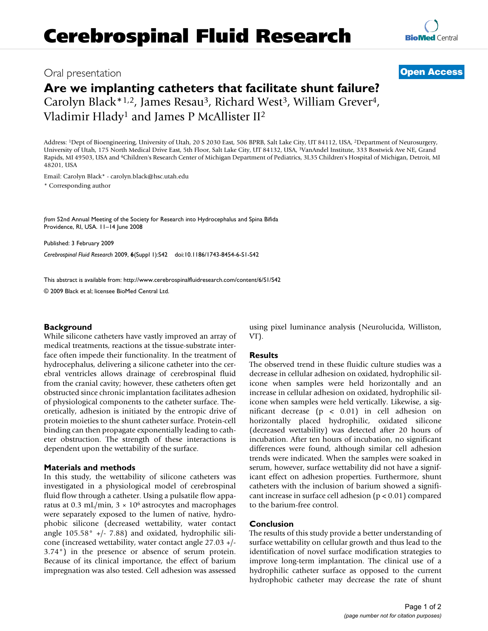## Oral presentation **[Open Access](http://www.biomedcentral.com/info/about/charter/)**

# **Are we implanting catheters that facilitate shunt failure?** Carolyn Black\*<sup>1,2</sup>, James Resau<sup>3</sup>, Richard West<sup>3</sup>, William Grever<sup>4</sup>,

Vladimir Hlady1 and James P McAllister II2

Address: 1Dept of Bioengineering, University of Utah, 20 S 2030 East, 506 BPRB, Salt Lake City, UT 84112, USA, 2Department of Neurosurgery, University of Utah, 175 North Medical Drive East, 5th Floor, Salt Lake City, UT 84132, USA, 3VanAndel Institute, 333 Bostwick Ave NE, Grand Rapids, MI 49503, USA and 4Children's Research Center of Michigan Department of Pediatrics, 3L35 Children's Hospital of Michigan, Detroit, MI 48201, USA

Email: Carolyn Black\* - carolyn.black@hsc.utah.edu

\* Corresponding author

*from* 52nd Annual Meeting of the Society for Research into Hydrocephalus and Spina Bifida Providence, RI, USA. 11–14 June 2008

Published: 3 February 2009

*Cerebrospinal Fluid Research* 2009, **6**(Suppl 1):S42 doi:10.1186/1743-8454-6-S1-S42

[This abstract is available from: http://www.cerebrospinalfluidresearch.com/content/6/S1/S42](http://www.cerebrospinalfluidresearch.com/content/6/S1/S42)

© 2009 Black et al; licensee BioMed Central Ltd.

### **Background**

While silicone catheters have vastly improved an array of medical treatments, reactions at the tissue-substrate interface often impede their functionality. In the treatment of hydrocephalus, delivering a silicone catheter into the cerebral ventricles allows drainage of cerebrospinal fluid from the cranial cavity; however, these catheters often get obstructed since chronic implantation facilitates adhesion of physiological components to the catheter surface. Theoretically, adhesion is initiated by the entropic drive of protein moieties to the shunt catheter surface. Protein-cell binding can then propagate exponentially leading to catheter obstruction. The strength of these interactions is dependent upon the wettability of the surface.

### **Materials and methods**

In this study, the wettability of silicone catheters was investigated in a physiological model of cerebrospinal fluid flow through a catheter. Using a pulsatile flow apparatus at 0.3 mL/min,  $3 \times 10^6$  astrocytes and macrophages were separately exposed to the lumen of native, hydrophobic silicone (decreased wettability, water contact angle 105.58° +/- 7.88) and oxidated, hydrophilic silicone (increased wettability, water contact angle 27.03 +/- 3.74°) in the presence or absence of serum protein. Because of its clinical importance, the effect of barium impregnation was also tested. Cell adhesion was assessed using pixel luminance analysis (Neurolucida, Williston, VT).

### **Results**

The observed trend in these fluidic culture studies was a decrease in cellular adhesion on oxidated, hydrophilic silicone when samples were held horizontally and an increase in cellular adhesion on oxidated, hydrophilic silicone when samples were held vertically. Likewise, a significant decrease (p < 0.01) in cell adhesion on horizontally placed hydrophilic, oxidated silicone (decreased wettability) was detected after 20 hours of incubation. After ten hours of incubation, no significant differences were found, although similar cell adhesion trends were indicated. When the samples were soaked in serum, however, surface wettability did not have a significant effect on adhesion properties. Furthermore, shunt catheters with the inclusion of barium showed a significant increase in surface cell adhesion  $(p < 0.01)$  compared to the barium-free control.

### **Conclusion**

The results of this study provide a better understanding of surface wettability on cellular growth and thus lead to the identification of novel surface modification strategies to improve long-term implantation. The clinical use of a hydrophilic catheter surface as opposed to the current hydrophobic catheter may decrease the rate of shunt